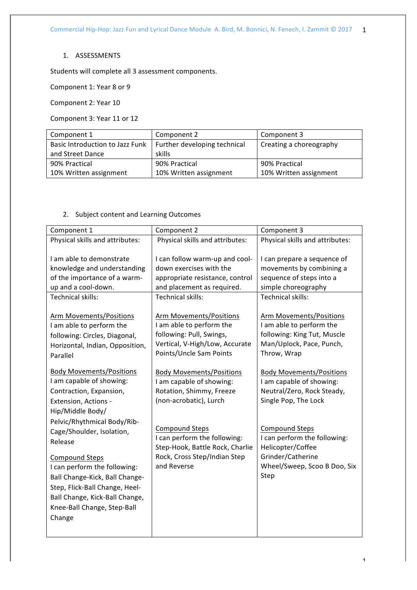## 1. ASSESSMENTS

Students will complete all 3 assessment components.

Component 1: Year 8 or 9

Component 2: Year 10

Component 3: Year 11 or 12

| Component 1                     | Component 2                  | Component 3             |
|---------------------------------|------------------------------|-------------------------|
| Basic Introduction to Jazz Funk | Further developing technical | Creating a choreography |
| and Street Dance                | skills                       |                         |
| 90% Practical                   | 90% Practical                | 90% Practical           |
| 10% Written assignment          | 10% Written assignment       | 10% Written assignment  |

## 2. Subject content and Learning Outcomes

| Component 1                     | Component 2                     | Component 3                     |
|---------------------------------|---------------------------------|---------------------------------|
| Physical skills and attributes: | Physical skills and attributes: | Physical skills and attributes: |
|                                 |                                 |                                 |
| I am able to demonstrate        | I can follow warm-up and cool-  | I can prepare a sequence of     |
| knowledge and understanding     | down exercises with the         | movements by combining a        |
| of the importance of a warm-    | appropriate resistance, control | sequence of steps into a        |
| up and a cool-down.             | and placement as required.      | simple choreography             |
| <b>Technical skills:</b>        | <b>Technical skills:</b>        | <b>Technical skills:</b>        |
|                                 |                                 |                                 |
| Arm Movements/Positions         | Arm Movements/Positions         | Arm Movements/Positions         |
| I am able to perform the        | I am able to perform the        | I am able to perform the        |
| following: Circles, Diagonal,   | following: Pull, Swings,        | following: King Tut, Muscle     |
| Horizontal, Indian, Opposition, | Vertical, V-High/Low, Accurate  | Man/Uplock, Pace, Punch,        |
| Parallel                        | Points/Uncle Sam Points         | Throw, Wrap                     |
|                                 |                                 |                                 |
| <b>Body Movements/Positions</b> | <b>Body Movements/Positions</b> | <b>Body Movements/Positions</b> |
| I am capable of showing:        | I am capable of showing:        | I am capable of showing:        |
| Contraction, Expansion,         | Rotation, Shimmy, Freeze        | Neutral/Zero, Rock Steady,      |
| Extension, Actions -            | (non-acrobatic), Lurch          | Single Pop, The Lock            |
| Hip/Middle Body/                |                                 |                                 |
| Pelvic/Rhythmical Body/Rib-     |                                 |                                 |
| Cage/Shoulder, Isolation,       | <b>Compound Steps</b>           | <b>Compound Steps</b>           |
| Release                         | I can perform the following:    | I can perform the following:    |
|                                 | Step-Hook, Battle Rock, Charlie | Helicopter/Coffee               |
| <b>Compound Steps</b>           | Rock, Cross Step/Indian Step    | Grinder/Catherine               |
| I can perform the following:    | and Reverse                     | Wheel/Sweep, Scoo B Doo, Six    |
| Ball Change-Kick, Ball Change-  |                                 | Step                            |
| Step, Flick-Ball Change, Heel-  |                                 |                                 |
| Ball Change, Kick-Ball Change,  |                                 |                                 |
| Knee-Ball Change, Step-Ball     |                                 |                                 |
| Change                          |                                 |                                 |
|                                 |                                 |                                 |
|                                 |                                 |                                 |